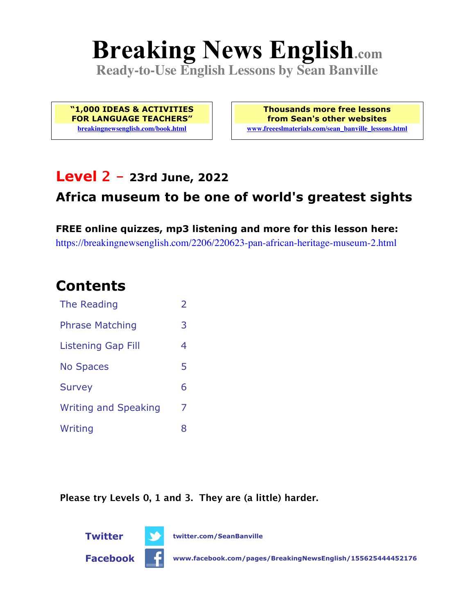# **Breaking News English.com**

**Ready-to-Use English Lessons by Sean Banville**

**"1,000 IDEAS & ACTIVITIES FOR LANGUAGE TEACHERS" breakingnewsenglish.com/book.html**

**Thousands more free lessons from Sean's other websites www.freeeslmaterials.com/sean\_banville\_lessons.html**

### **Level 2 - 23rd June, 2022**

### **Africa museum to be one of world's greatest sights**

**FREE online quizzes, mp3 listening and more for this lesson here:** https://breakingnewsenglish.com/2206/220623-pan-african-heritage-museum-2.html

### **Contents**

| The Reading                 | $\overline{2}$ |
|-----------------------------|----------------|
| <b>Phrase Matching</b>      | 3              |
| <b>Listening Gap Fill</b>   | 4              |
| <b>No Spaces</b>            | 5              |
| <b>Survey</b>               | 6              |
| <b>Writing and Speaking</b> | 7              |
| Writing                     | 8              |

**Please try Levels 0, 1 and 3. They are (a little) harder.**



**Facebook www.facebook.com/pages/BreakingNewsEnglish/155625444452176**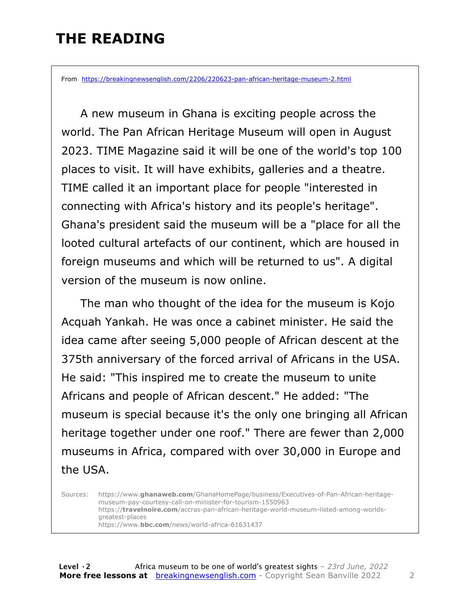### **THE READING**

From https://breakingnewsenglish.com/2206/220623-pan-african-heritage-museum-2.html

 A new museum in Ghana is exciting people across the world. The Pan African Heritage Museum will open in August 2023. TIME Magazine said it will be one of the world's top 100 places to visit. It will have exhibits, galleries and a theatre. TIME called it an important place for people "interested in connecting with Africa's history and its people's heritage". Ghana's president said the museum will be a "place for all the looted cultural artefacts of our continent, which are housed in foreign museums and which will be returned to us". A digital version of the museum is now online.

 The man who thought of the idea for the museum is Kojo Acquah Yankah. He was once a cabinet minister. He said the idea came after seeing 5,000 people of African descent at the 375th anniversary of the forced arrival of Africans in the USA. He said: "This inspired me to create the museum to unite Africans and people of African descent." He added: "The museum is special because it's the only one bringing all African heritage together under one roof." There are fewer than 2,000 museums in Africa, compared with over 30,000 in Europe and the USA.

Sources: https://www.**ghanaweb.com**/GhanaHomePage/business/Executives-of-Pan-African-heritagemuseum-pay-courtesy-call-on-minister-for-tourism-1550963 https://**travelnoire.com**/accras-pan-african-heritage-world-museum-listed-among-worldsgreatest-places https://www.**bbc.com**/news/world-africa-61631437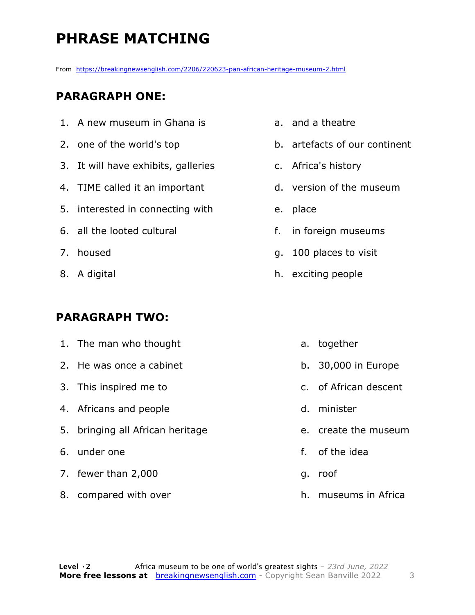## **PHRASE MATCHING**

From https://breakingnewsenglish.com/2206/220623-pan-african-heritage-museum-2.html

#### **PARAGRAPH ONE:**

- 1. A new museum in Ghana is
- 2. one of the world's top
- 3. It will have exhibits, galleries
- 4. TIME called it an important
- 5. interested in connecting with
- 6. all the looted cultural
- 7. housed
- 8. A digital

#### **PARAGRAPH TWO:**

- 1. The man who thought
- 2. He was once a cabinet
- 3. This inspired me to
- 4. Africans and people
- 5. bringing all African heritage
- 6. under one
- 7. fewer than 2,000
- 8. compared with over
- a. and a theatre
- b. artefacts of our continent
- c. Africa's history
- d. version of the museum
- e. place
- f. in foreign museums
- g. 100 places to visit
- h. exciting people
	- a. together
	- b. 30,000 in Europe
	- c. of African descent
	- d. minister
	- e. create the museum
	- f. of the idea
	- g. roof
	- h. museums in Africa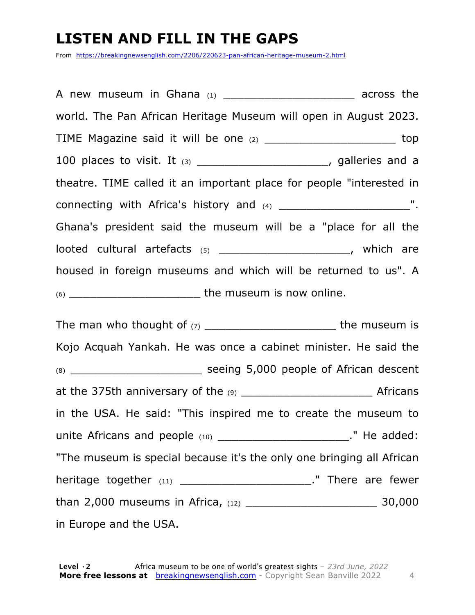### **LISTEN AND FILL IN THE GAPS**

From https://breakingnewsenglish.com/2206/220623-pan-african-heritage-museum-2.html

A new museum in Ghana  $(1)$   $(2)$   $(3)$   $(4)$  across the world. The Pan African Heritage Museum will open in August 2023. TIME Magazine said it will be one (2) \_\_\_\_\_\_\_\_\_\_\_\_\_\_\_\_\_\_\_\_\_\_\_\_\_\_ top 100 places to visit. It  $(3)$  \_\_\_\_\_\_\_\_\_\_\_\_\_\_\_\_\_\_\_\_\_\_\_, galleries and a theatre. TIME called it an important place for people "interested in connecting with Africa's history and (4) \_\_\_\_\_\_\_\_\_\_\_\_\_\_\_\_\_\_\_\_\_\_\_\_\_\_\_\_\_". Ghana's president said the museum will be a "place for all the looted cultural artefacts (5) \_\_\_\_\_\_\_\_\_\_\_\_\_\_\_\_\_\_\_\_\_\_\_, which are housed in foreign museums and which will be returned to us". A (6) \_\_\_\_\_\_\_\_\_\_\_\_\_\_\_\_\_\_\_ the museum is now online. The man who thought of (7) \_\_\_\_\_\_\_\_\_\_\_\_\_\_\_\_\_\_\_ the museum is Kojo Acquah Yankah. He was once a cabinet minister. He said the (8) \_\_\_\_\_\_\_\_\_\_\_\_\_\_\_\_\_\_\_ seeing 5,000 people of African descent at the 375th anniversary of the  $(9)$  and the set of  $\overline{P}$  Africans in the USA. He said: "This inspired me to create the museum to unite Africans and people (10) \_\_\_\_\_\_\_\_\_\_\_\_\_\_\_\_\_\_\_\_\_\_\_\_\_\_\_\_\_." He added: "The museum is special because it's the only one bringing all African

heritage together (11) \_\_\_\_\_\_\_\_\_\_\_\_\_\_\_\_\_\_\_\_\_\_\_\_." There are fewer

than 2,000 museums in Africa, (12) \_\_\_\_\_\_\_\_\_\_\_\_\_\_\_\_\_\_\_ 30,000

in Europe and the USA.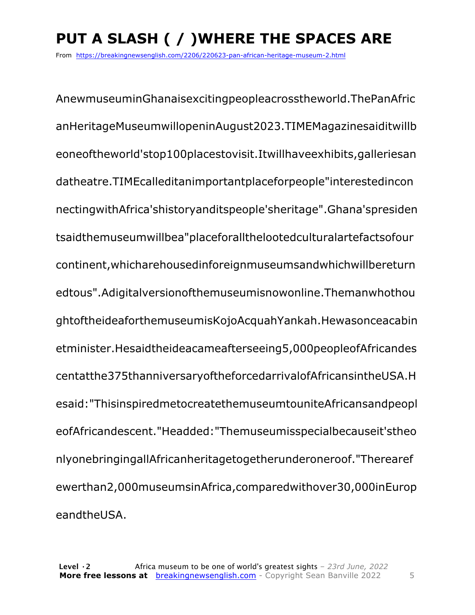# **PUT A SLASH ( / )WHERE THE SPACES ARE**

From https://breakingnewsenglish.com/2206/220623-pan-african-heritage-museum-2.html

AnewmuseuminGhanaisexcitingpeopleacrosstheworld.ThePanAfric anHeritageMuseumwillopeninAugust2023.TIMEMagazinesaiditwillb eoneoftheworld'stop100placestovisit.Itwillhaveexhibits,galleriesan datheatre.TIMEcalleditanimportantplaceforpeople"interestedincon nectingwithAfrica'shistoryanditspeople'sheritage".Ghana'spresiden tsaidthemuseumwillbea"placeforallthelootedculturalartefactsofour continent,whicharehousedinforeignmuseumsandwhichwillbereturn edtous".Adigitalversionofthemuseumisnowonline.Themanwhothou ghtoftheideaforthemuseumisKojoAcquahYankah.Hewasonceacabin etminister.Hesaidtheideacameafterseeing5,000peopleofAfricandes centatthe375thanniversaryoftheforcedarrivalofAfricansintheUSA.H esaid:"ThisinspiredmetocreatethemuseumtouniteAfricansandpeopl eofAfricandescent."Headded:"Themuseumisspecialbecauseit'stheo nlyonebringingallAfricanheritagetogetherunderoneroof."Therearef ewerthan2,000museumsinAfrica,comparedwithover30,000inEurop eandtheUSA.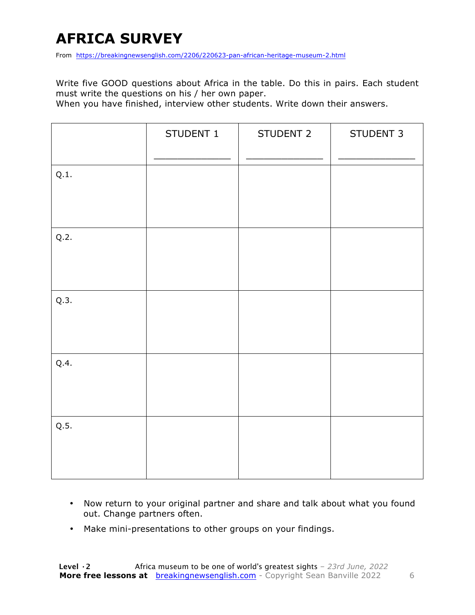### **AFRICA SURVEY**

From https://breakingnewsenglish.com/2206/220623-pan-african-heritage-museum-2.html

Write five GOOD questions about Africa in the table. Do this in pairs. Each student must write the questions on his / her own paper.

When you have finished, interview other students. Write down their answers.

|      | STUDENT 1 | STUDENT 2 | STUDENT 3 |
|------|-----------|-----------|-----------|
| Q.1. |           |           |           |
| Q.2. |           |           |           |
| Q.3. |           |           |           |
| Q.4. |           |           |           |
| Q.5. |           |           |           |

- Now return to your original partner and share and talk about what you found out. Change partners often.
- Make mini-presentations to other groups on your findings.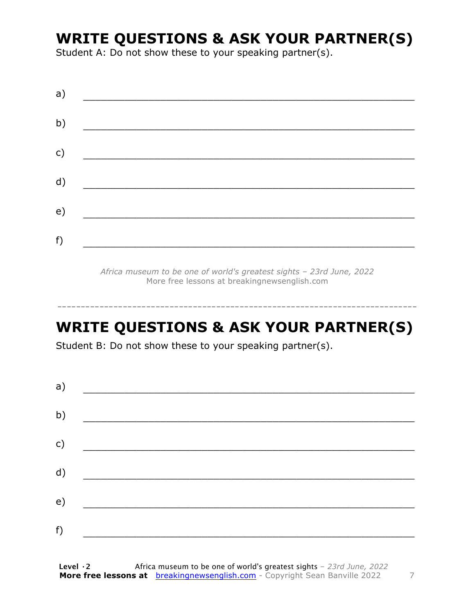### **WRITE QUESTIONS & ASK YOUR PARTNER(S)**

Student A: Do not show these to your speaking partner(s).

| a) |  |  |
|----|--|--|
| b) |  |  |
| c) |  |  |
| d) |  |  |
| e) |  |  |
| f) |  |  |
|    |  |  |

*Africa museum to be one of world's greatest sights – 23rd June, 2022* More free lessons at breakingnewsenglish.com

### **WRITE QUESTIONS & ASK YOUR PARTNER(S)**

-----------------------------------------------------------------------------

Student B: Do not show these to your speaking partner(s).

| a) |  |  |
|----|--|--|
| b) |  |  |
| c) |  |  |
| d) |  |  |
| e) |  |  |
| f) |  |  |
|    |  |  |

**Level ·2** Africa museum to be one of world's greatest sights *– 23rd June, 2022* **More free lessons at** breakingnewsenglish.com - Copyright Sean Banville 2022 7